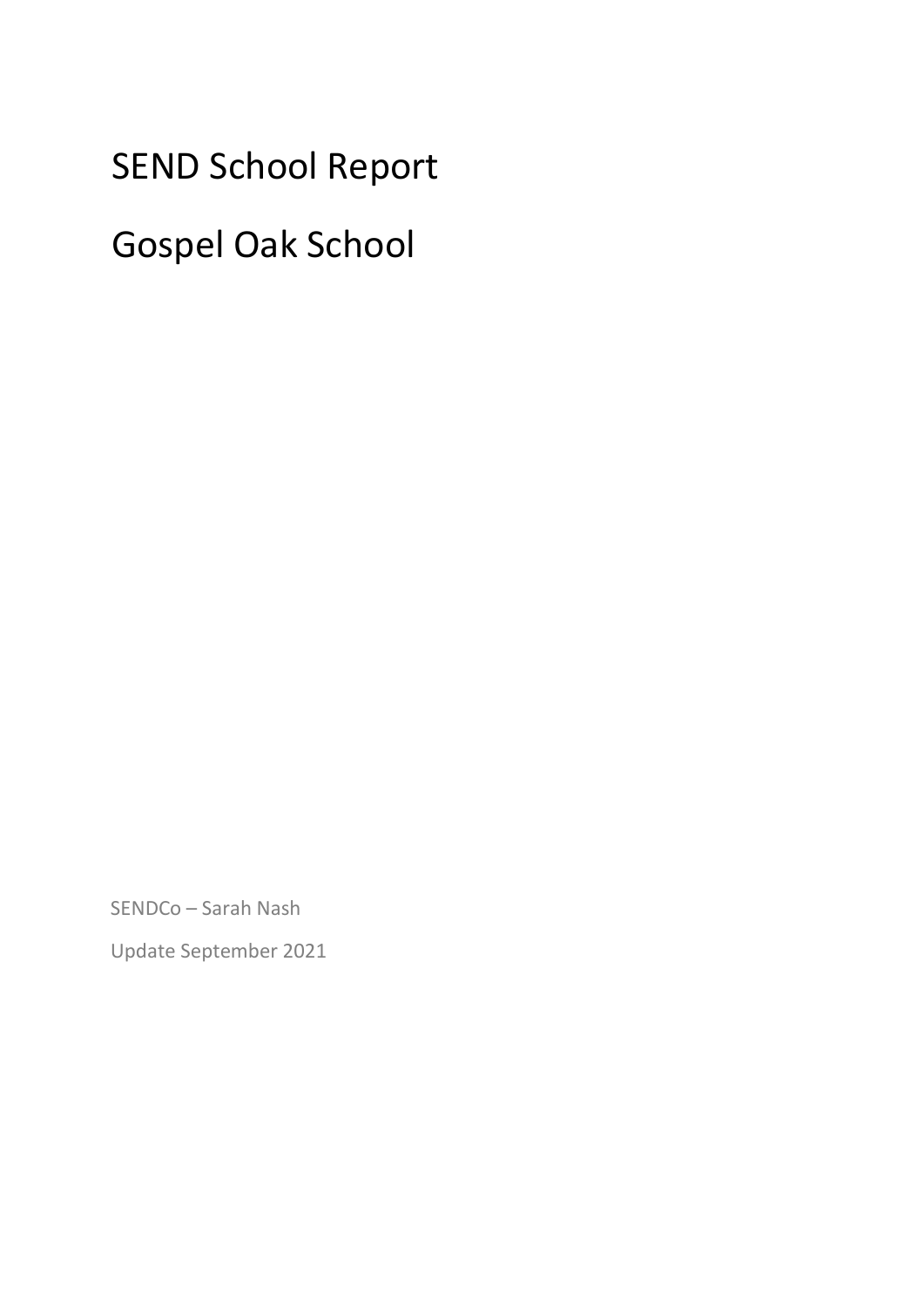# SEND School Report

# Gospel Oak School

SENDCo – Sarah Nash

Update September 2021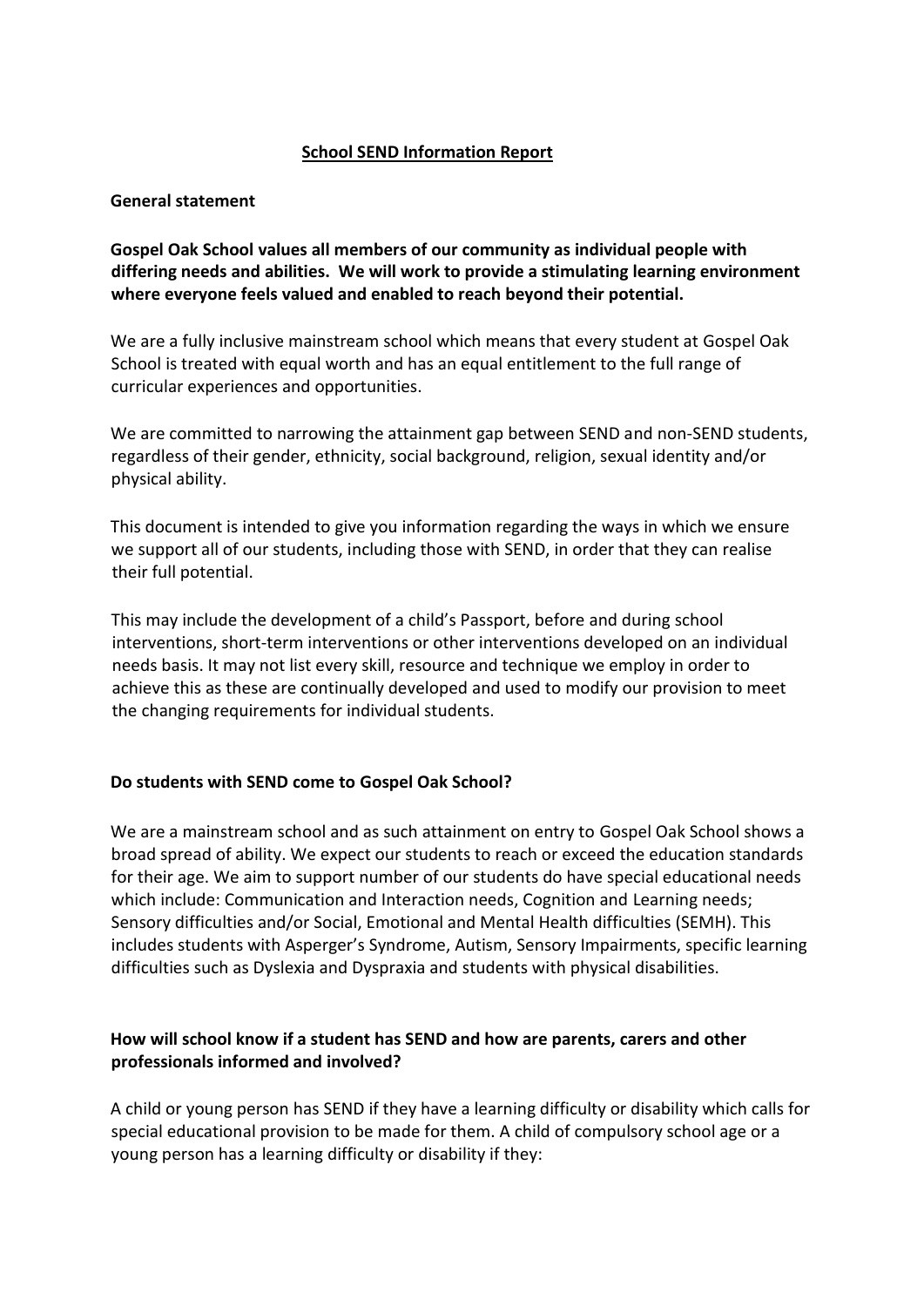### **School SEND Information Report**

#### **General statement**

**Gospel Oak School values all members of our community as individual people with differing needs and abilities. We will work to provide a stimulating learning environment where everyone feels valued and enabled to reach beyond their potential.** 

We are a fully inclusive mainstream school which means that every student at Gospel Oak School is treated with equal worth and has an equal entitlement to the full range of curricular experiences and opportunities.

We are committed to narrowing the attainment gap between SEND and non-SEND students, regardless of their gender, ethnicity, social background, religion, sexual identity and/or physical ability.

This document is intended to give you information regarding the ways in which we ensure we support all of our students, including those with SEND, in order that they can realise their full potential.

This may include the development of a child's Passport, before and during school interventions, short-term interventions or other interventions developed on an individual needs basis. It may not list every skill, resource and technique we employ in order to achieve this as these are continually developed and used to modify our provision to meet the changing requirements for individual students.

#### **Do students with SEND come to Gospel Oak School?**

We are a mainstream school and as such attainment on entry to Gospel Oak School shows a broad spread of ability. We expect our students to reach or exceed the education standards for their age. We aim to support number of our students do have special educational needs which include: Communication and Interaction needs, Cognition and Learning needs; Sensory difficulties and/or Social, Emotional and Mental Health difficulties (SEMH). This includes students with Asperger's Syndrome, Autism, Sensory Impairments, specific learning difficulties such as Dyslexia and Dyspraxia and students with physical disabilities.

# **How will school know if a student has SEND and how are parents, carers and other professionals informed and involved?**

A child or young person has SEND if they have a learning difficulty or disability which calls for special educational provision to be made for them. A child of compulsory school age or a young person has a learning difficulty or disability if they: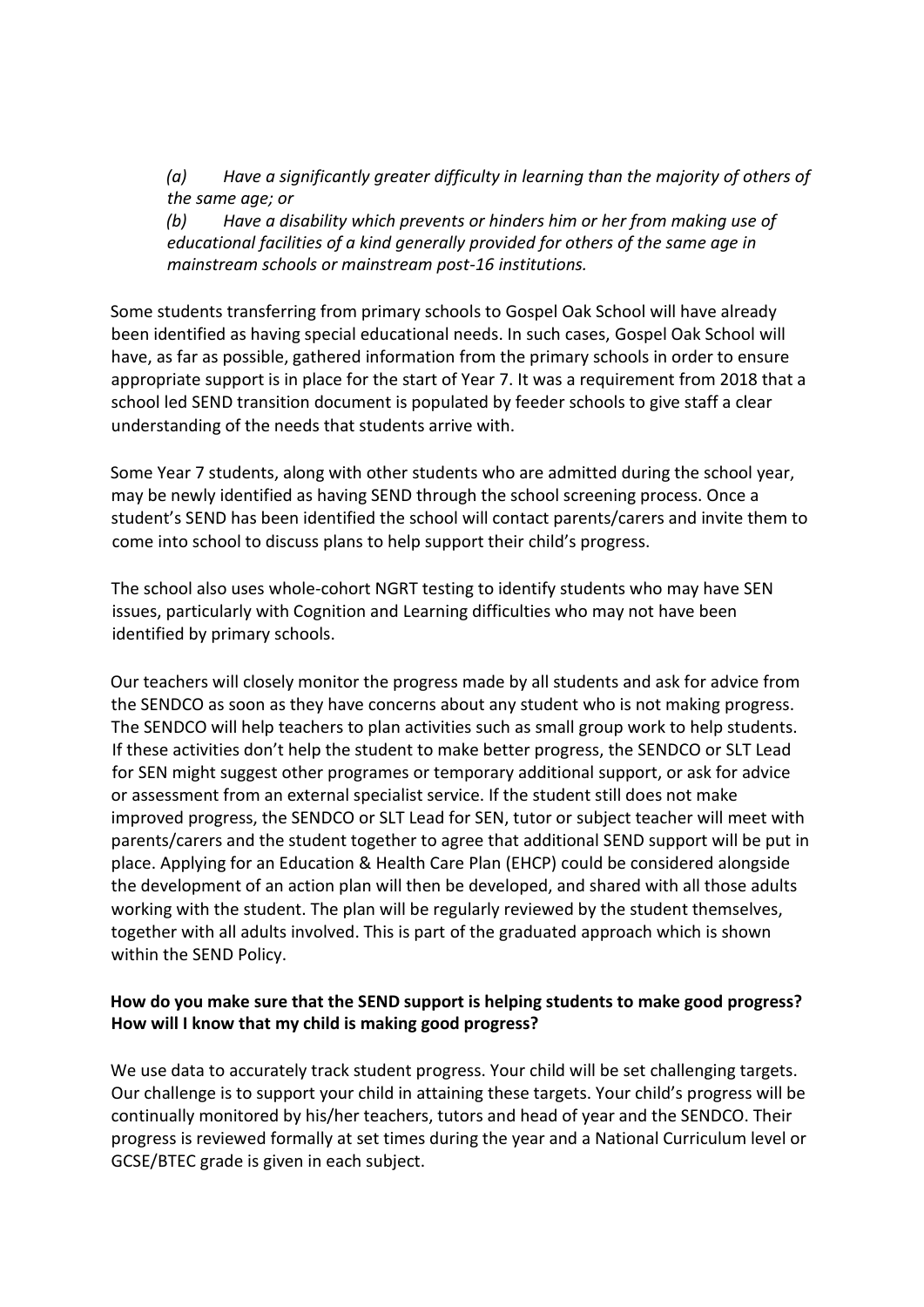*(a) Have a significantly greater difficulty in learning than the majority of others of the same age; or*

*(b) Have a disability which prevents or hinders him or her from making use of educational facilities of a kind generally provided for others of the same age in mainstream schools or mainstream post-16 institutions.*

Some students transferring from primary schools to Gospel Oak School will have already been identified as having special educational needs. In such cases, Gospel Oak School will have, as far as possible, gathered information from the primary schools in order to ensure appropriate support is in place for the start of Year 7. It was a requirement from 2018 that a school led SEND transition document is populated by feeder schools to give staff a clear understanding of the needs that students arrive with.

Some Year 7 students, along with other students who are admitted during the school year, may be newly identified as having SEND through the school screening process. Once a student's SEND has been identified the school will contact parents/carers and invite them to come into school to discuss plans to help support their child's progress.

The school also uses whole-cohort NGRT testing to identify students who may have SEN issues, particularly with Cognition and Learning difficulties who may not have been identified by primary schools.

Our teachers will closely monitor the progress made by all students and ask for advice from the SENDCO as soon as they have concerns about any student who is not making progress. The SENDCO will help teachers to plan activities such as small group work to help students. If these activities don't help the student to make better progress, the SENDCO or SLT Lead for SEN might suggest other programes or temporary additional support, or ask for advice or assessment from an external specialist service. If the student still does not make improved progress, the SENDCO or SLT Lead for SEN, tutor or subject teacher will meet with parents/carers and the student together to agree that additional SEND support will be put in place. Applying for an Education & Health Care Plan (EHCP) could be considered alongside the development of an action plan will then be developed, and shared with all those adults working with the student. The plan will be regularly reviewed by the student themselves, together with all adults involved. This is part of the graduated approach which is shown within the SEND Policy.

### **How do you make sure that the SEND support is helping students to make good progress? How will I know that my child is making good progress?**

We use data to accurately track student progress. Your child will be set challenging targets. Our challenge is to support your child in attaining these targets. Your child's progress will be continually monitored by his/her teachers, tutors and head of year and the SENDCO. Their progress is reviewed formally at set times during the year and a National Curriculum level or GCSE/BTEC grade is given in each subject.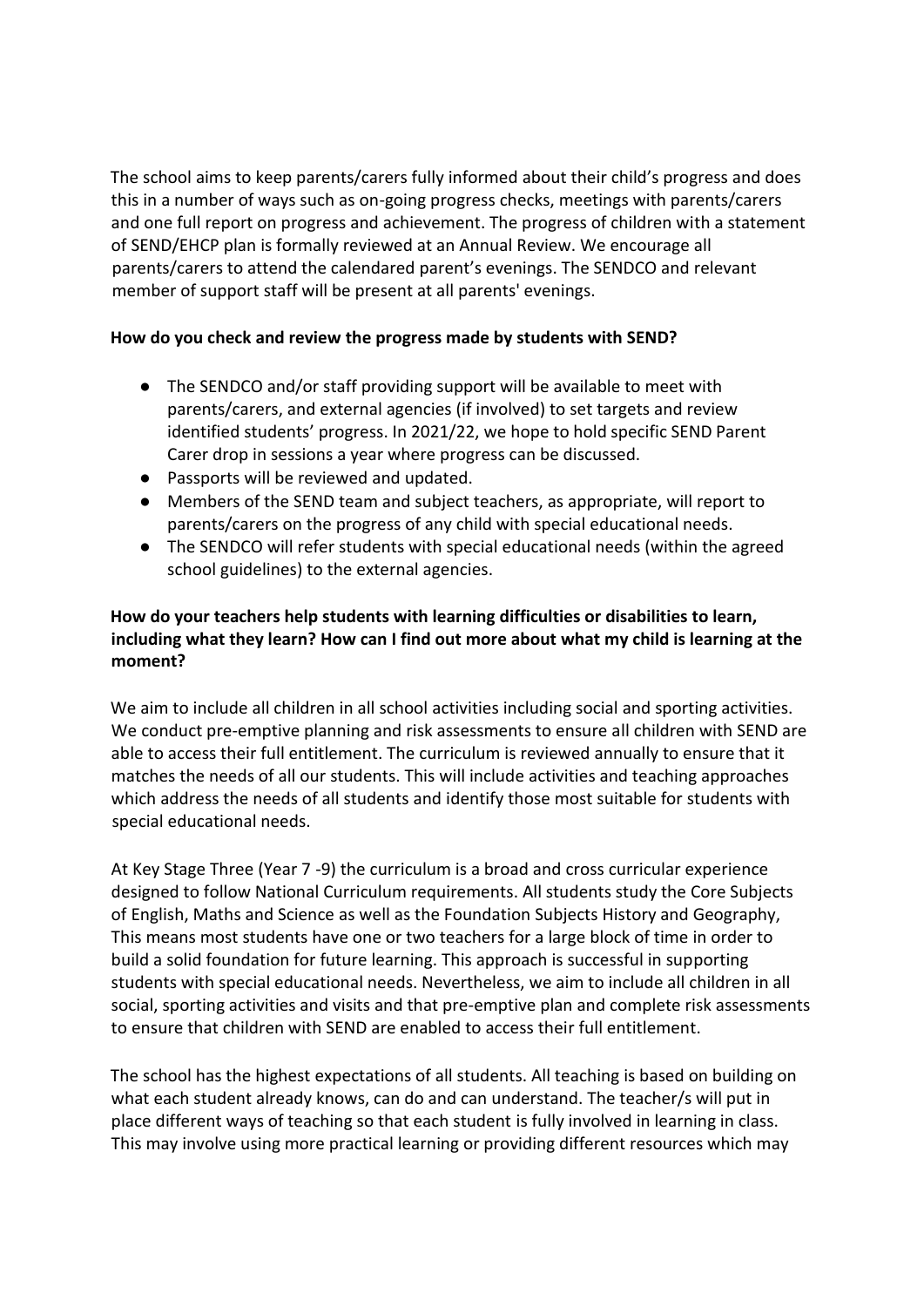The school aims to keep parents/carers fully informed about their child's progress and does this in a number of ways such as on-going progress checks, meetings with parents/carers and one full report on progress and achievement. The progress of children with a statement of SEND/EHCP plan is formally reviewed at an Annual Review. We encourage all parents/carers to attend the calendared parent's evenings. The SENDCO and relevant member of support staff will be present at all parents' evenings.

### **How do you check and review the progress made by students with SEND?**

- The SENDCO and/or staff providing support will be available to meet with parents/carers, and external agencies (if involved) to set targets and review identified students' progress. In 2021/22, we hope to hold specific SEND Parent Carer drop in sessions a year where progress can be discussed.
- Passports will be reviewed and updated.
- Members of the SEND team and subject teachers, as appropriate, will report to parents/carers on the progress of any child with special educational needs.
- The SENDCO will refer students with special educational needs (within the agreed school guidelines) to the external agencies.

# **How do your teachers help students with learning difficulties or disabilities to learn, including what they learn? How can I find out more about what my child is learning at the moment?**

We aim to include all children in all school activities including social and sporting activities. We conduct pre-emptive planning and risk assessments to ensure all children with SEND are able to access their full entitlement. The curriculum is reviewed annually to ensure that it matches the needs of all our students. This will include activities and teaching approaches which address the needs of all students and identify those most suitable for students with special educational needs.

At Key Stage Three (Year 7 -9) the curriculum is a broad and cross curricular experience designed to follow National Curriculum requirements. All students study the Core Subjects of English, Maths and Science as well as the Foundation Subjects History and Geography, This means most students have one or two teachers for a large block of time in order to build a solid foundation for future learning. This approach is successful in supporting students with special educational needs. Nevertheless, we aim to include all children in all social, sporting activities and visits and that pre-emptive plan and complete risk assessments to ensure that children with SEND are enabled to access their full entitlement.

The school has the highest expectations of all students. All teaching is based on building on what each student already knows, can do and can understand. The teacher/s will put in place different ways of teaching so that each student is fully involved in learning in class. This may involve using more practical learning or providing different resources which may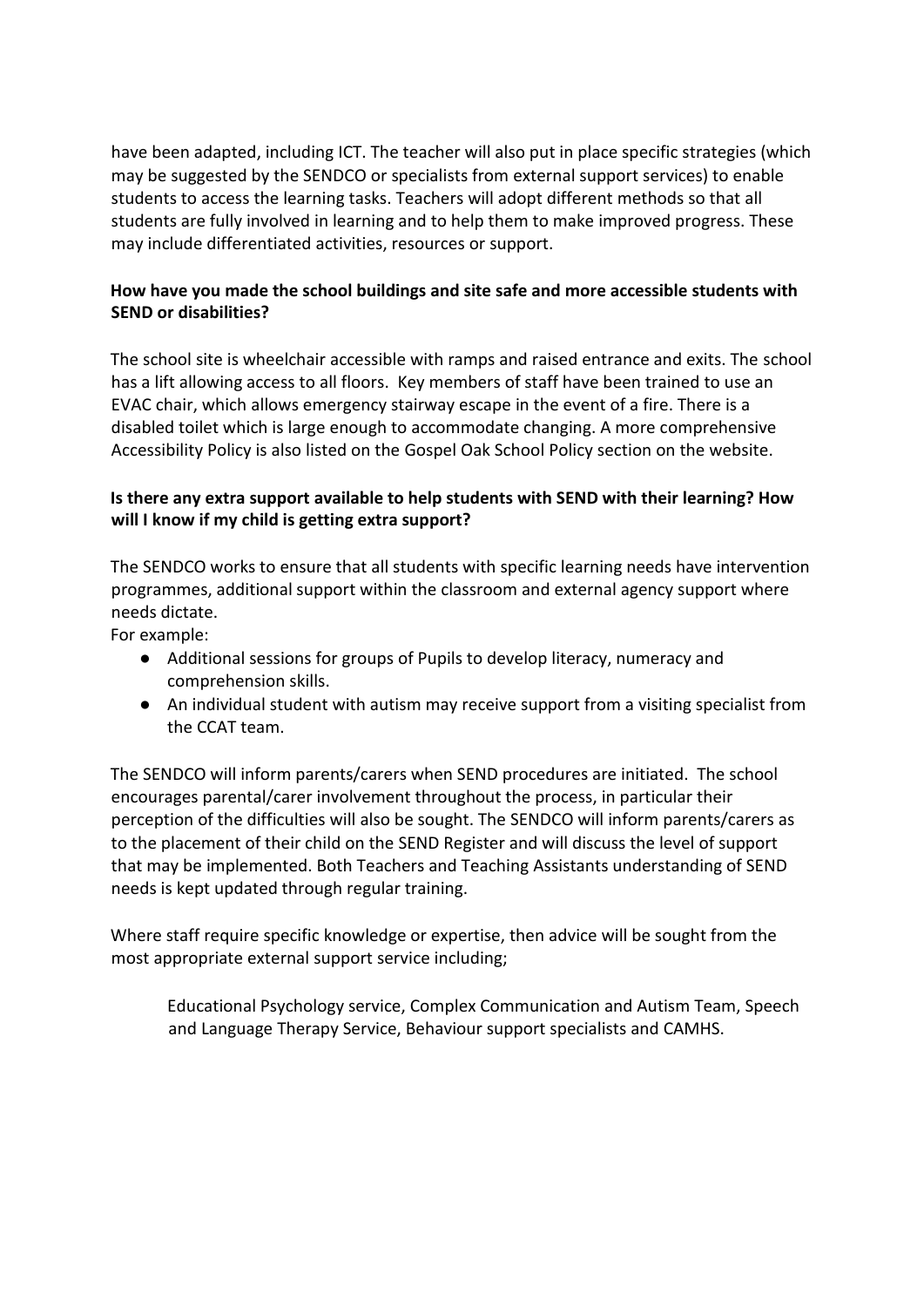have been adapted, including ICT. The teacher will also put in place specific strategies (which may be suggested by the SENDCO or specialists from external support services) to enable students to access the learning tasks. Teachers will adopt different methods so that all students are fully involved in learning and to help them to make improved progress. These may include differentiated activities, resources or support.

# **How have you made the school buildings and site safe and more accessible students with SEND or disabilities?**

The school site is wheelchair accessible with ramps and raised entrance and exits. The school has a lift allowing access to all floors. Key members of staff have been trained to use an EVAC chair, which allows emergency stairway escape in the event of a fire. There is a disabled toilet which is large enough to accommodate changing. A more comprehensive Accessibility Policy is also listed on the Gospel Oak School Policy section on the website.

# **Is there any extra support available to help students with SEND with their learning? How will I know if my child is getting extra support?**

The SENDCO works to ensure that all students with specific learning needs have intervention programmes, additional support within the classroom and external agency support where needs dictate.

For example:

- Additional sessions for groups of Pupils to develop literacy, numeracy and comprehension skills.
- An individual student with autism may receive support from a visiting specialist from the CCAT team.

The SENDCO will inform parents/carers when SEND procedures are initiated. The school encourages parental/carer involvement throughout the process, in particular their perception of the difficulties will also be sought. The SENDCO will inform parents/carers as to the placement of their child on the SEND Register and will discuss the level of support that may be implemented. Both Teachers and Teaching Assistants understanding of SEND needs is kept updated through regular training.

Where staff require specific knowledge or expertise, then advice will be sought from the most appropriate external support service including;

Educational Psychology service, Complex Communication and Autism Team, Speech and Language Therapy Service, Behaviour support specialists and CAMHS.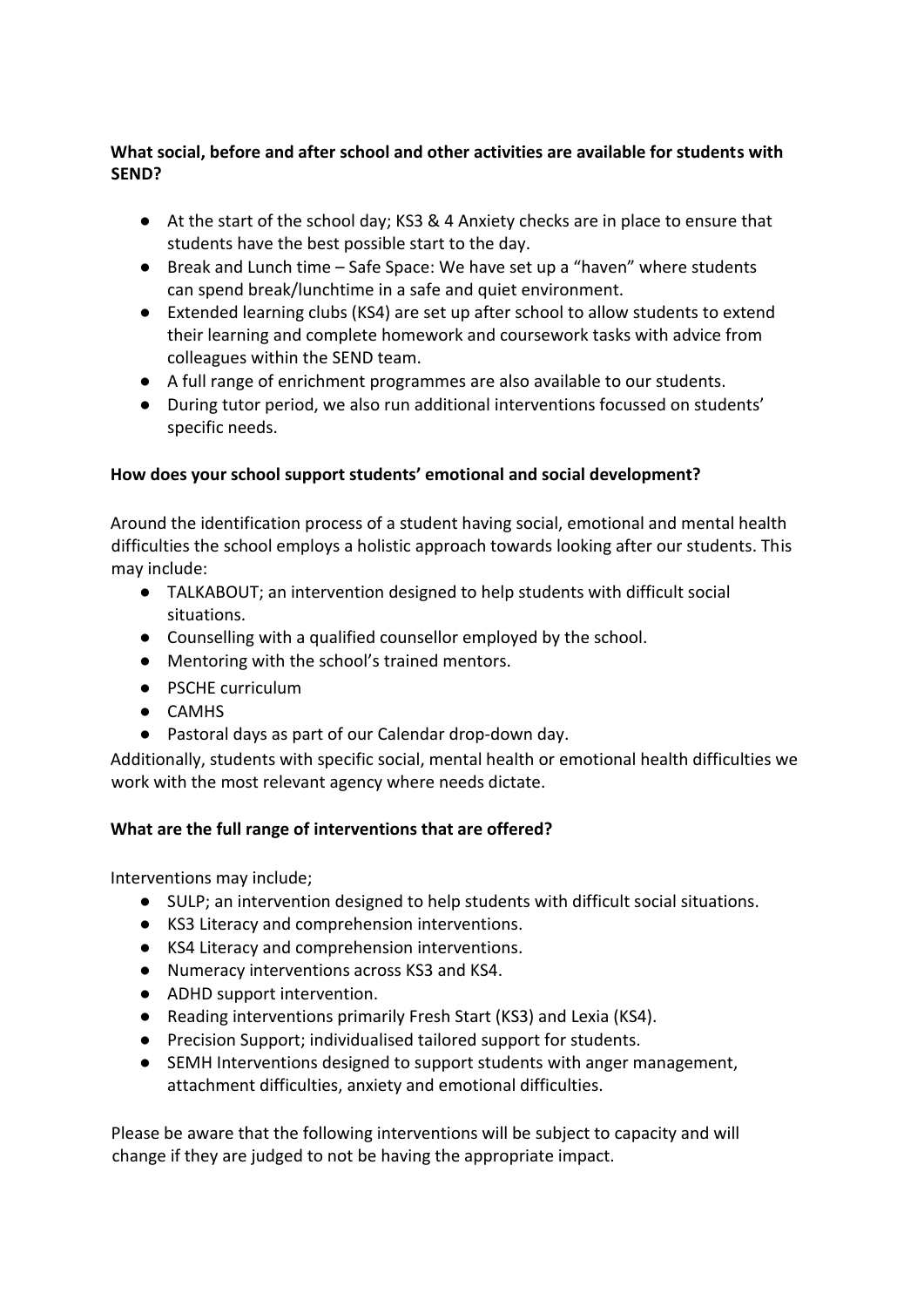# **What social, before and after school and other activities are available for students with SEND?**

- At the start of the school day; KS3 & 4 Anxiety checks are in place to ensure that students have the best possible start to the day.
- Break and Lunch time Safe Space: We have set up a "haven" where students can spend break/lunchtime in a safe and quiet environment.
- Extended learning clubs (KS4) are set up after school to allow students to extend their learning and complete homework and coursework tasks with advice from colleagues within the SEND team.
- A full range of enrichment programmes are also available to our students.
- During tutor period, we also run additional interventions focussed on students' specific needs.

# **How does your school support students' emotional and social development?**

Around the identification process of a student having social, emotional and mental health difficulties the school employs a holistic approach towards looking after our students. This may include:

- TALKABOUT; an intervention designed to help students with difficult social situations.
- Counselling with a qualified counsellor employed by the school.
- Mentoring with the school's trained mentors.
- PSCHE curriculum
- CAMHS
- Pastoral days as part of our Calendar drop-down day.

Additionally, students with specific social, mental health or emotional health difficulties we work with the most relevant agency where needs dictate.

# **What are the full range of interventions that are offered?**

Interventions may include;

- SULP; an intervention designed to help students with difficult social situations.
- KS3 Literacy and comprehension interventions.
- KS4 Literacy and comprehension interventions.
- Numeracy interventions across KS3 and KS4.
- ADHD support intervention.
- Reading interventions primarily Fresh Start (KS3) and Lexia (KS4).
- Precision Support; individualised tailored support for students.
- SEMH Interventions designed to support students with anger management, attachment difficulties, anxiety and emotional difficulties.

Please be aware that the following interventions will be subject to capacity and will change if they are judged to not be having the appropriate impact.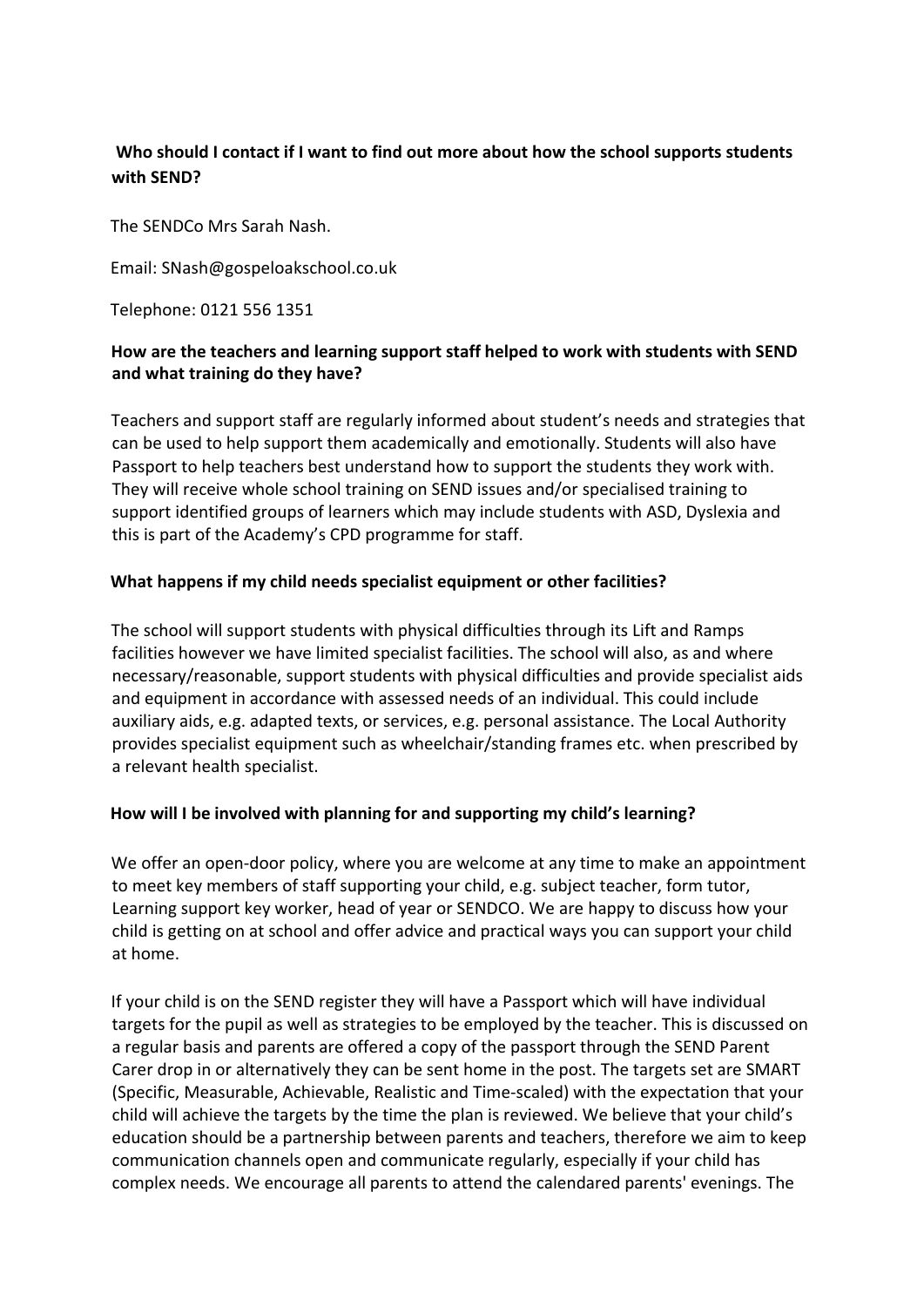# **Who should I contact if I want to find out more about how the school supports students with SEND?**

The SENDCo Mrs Sarah Nash.

Email: SNash@gospeloakschool.co.uk

Telephone: 0121 556 1351

# **How are the teachers and learning support staff helped to work with students with SEND and what training do they have?**

Teachers and support staff are regularly informed about student's needs and strategies that can be used to help support them academically and emotionally. Students will also have Passport to help teachers best understand how to support the students they work with. They will receive whole school training on SEND issues and/or specialised training to support identified groups of learners which may include students with ASD, Dyslexia and this is part of the Academy's CPD programme for staff.

# **What happens if my child needs specialist equipment or other facilities?**

The school will support students with physical difficulties through its Lift and Ramps facilities however we have limited specialist facilities. The school will also, as and where necessary/reasonable, support students with physical difficulties and provide specialist aids and equipment in accordance with assessed needs of an individual. This could include auxiliary aids, e.g. adapted texts, or services, e.g. personal assistance. The Local Authority provides specialist equipment such as wheelchair/standing frames etc. when prescribed by a relevant health specialist.

# **How will I be involved with planning for and supporting my child's learning?**

We offer an open-door policy, where you are welcome at any time to make an appointment to meet key members of staff supporting your child, e.g. subject teacher, form tutor, Learning support key worker, head of year or SENDCO. We are happy to discuss how your child is getting on at school and offer advice and practical ways you can support your child at home.

If your child is on the SEND register they will have a Passport which will have individual targets for the pupil as well as strategies to be employed by the teacher. This is discussed on a regular basis and parents are offered a copy of the passport through the SEND Parent Carer drop in or alternatively they can be sent home in the post. The targets set are SMART (Specific, Measurable, Achievable, Realistic and Time-scaled) with the expectation that your child will achieve the targets by the time the plan is reviewed. We believe that your child's education should be a partnership between parents and teachers, therefore we aim to keep communication channels open and communicate regularly, especially if your child has complex needs. We encourage all parents to attend the calendared parents' evenings. The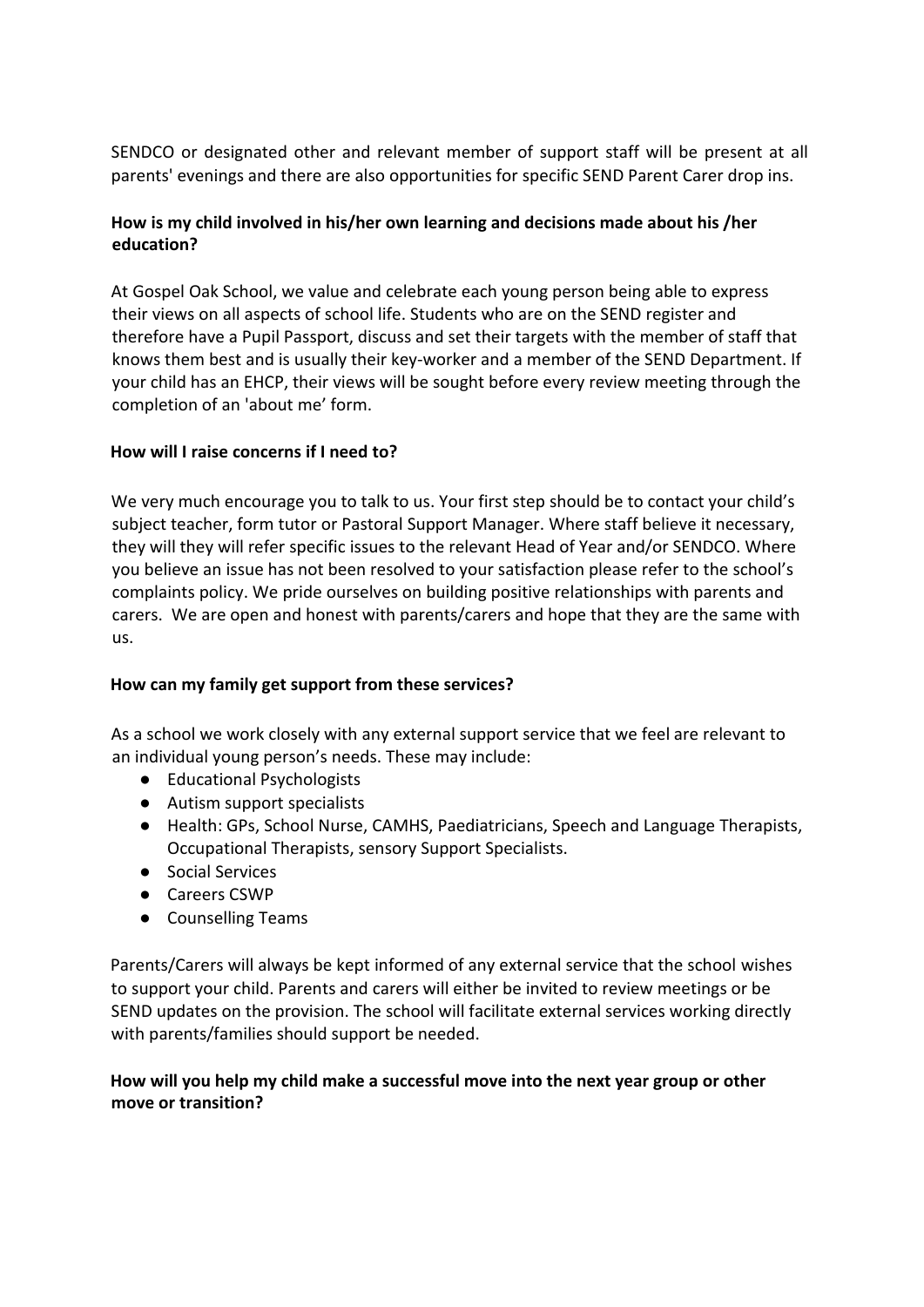SENDCO or designated other and relevant member of support staff will be present at all parents' evenings and there are also opportunities for specific SEND Parent Carer drop ins.

# **How is my child involved in his/her own learning and decisions made about his /her education?**

At Gospel Oak School, we value and celebrate each young person being able to express their views on all aspects of school life. Students who are on the SEND register and therefore have a Pupil Passport, discuss and set their targets with the member of staff that knows them best and is usually their key-worker and a member of the SEND Department. If your child has an EHCP, their views will be sought before every review meeting through the completion of an 'about me' form.

### **How will I raise concerns if I need to?**

We very much encourage you to talk to us. Your first step should be to contact your child's subject teacher, form tutor or Pastoral Support Manager. Where staff believe it necessary, they will they will refer specific issues to the relevant Head of Year and/or SENDCO. Where you believe an issue has not been resolved to your satisfaction please refer to the school's complaints policy. We pride ourselves on building positive relationships with parents and carers. We are open and honest with parents/carers and hope that they are the same with us.

#### **How can my family get support from these services?**

As a school we work closely with any external support service that we feel are relevant to an individual young person's needs. These may include:

- Educational Psychologists
- Autism support specialists
- Health: GPs, School Nurse, CAMHS, Paediatricians, Speech and Language Therapists, Occupational Therapists, sensory Support Specialists.
- Social Services
- Careers CSWP
- Counselling Teams

Parents/Carers will always be kept informed of any external service that the school wishes to support your child. Parents and carers will either be invited to review meetings or be SEND updates on the provision. The school will facilitate external services working directly with parents/families should support be needed.

# **How will you help my child make a successful move into the next year group or other move or transition?**